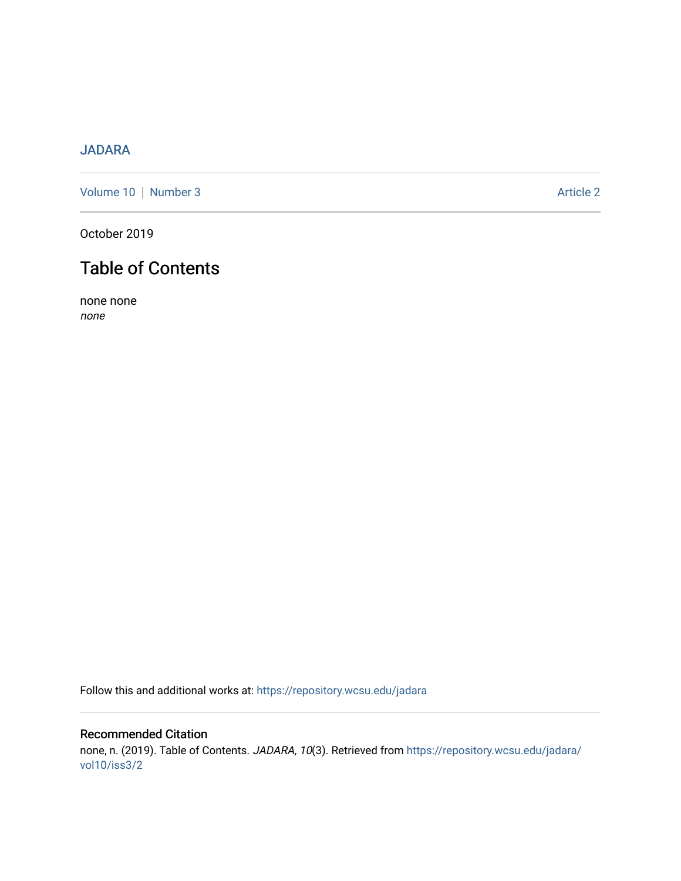# [JADARA](https://repository.wcsu.edu/jadara)

[Volume 10](https://repository.wcsu.edu/jadara/vol10) | [Number 3](https://repository.wcsu.edu/jadara/vol10/iss3) Article 2

October 2019

# Table of Contents

none none none

Follow this and additional works at: [https://repository.wcsu.edu/jadara](https://repository.wcsu.edu/jadara?utm_source=repository.wcsu.edu%2Fjadara%2Fvol10%2Fiss3%2F2&utm_medium=PDF&utm_campaign=PDFCoverPages)

# Recommended Citation none, n. (2019). Table of Contents. JADARA, 10(3). Retrieved from [https://repository.wcsu.edu/jadara/](https://repository.wcsu.edu/jadara/vol10/iss3/2?utm_source=repository.wcsu.edu%2Fjadara%2Fvol10%2Fiss3%2F2&utm_medium=PDF&utm_campaign=PDFCoverPages) [vol10/iss3/2](https://repository.wcsu.edu/jadara/vol10/iss3/2?utm_source=repository.wcsu.edu%2Fjadara%2Fvol10%2Fiss3%2F2&utm_medium=PDF&utm_campaign=PDFCoverPages)